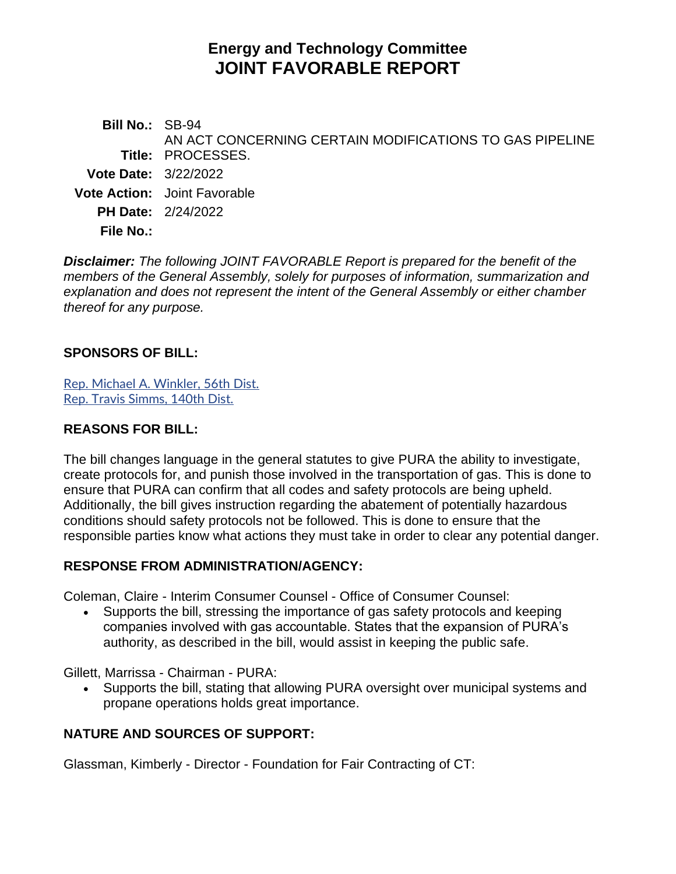# **Energy and Technology Committee JOINT FAVORABLE REPORT**

**Bill No.:** SB-94 **Title:** PROCESSES. AN ACT CONCERNING CERTAIN MODIFICATIONS TO GAS PIPELINE **Vote Date:** 3/22/2022 **Vote Action:** Joint Favorable **PH Date:** 2/24/2022 **File No.:**

*Disclaimer: The following JOINT FAVORABLE Report is prepared for the benefit of the members of the General Assembly, solely for purposes of information, summarization and explanation and does not represent the intent of the General Assembly or either chamber thereof for any purpose.*

## **SPONSORS OF BILL:**

[Rep. Michael A. Winkler, 56th Dist.](https://www.cga.ct.gov/asp/CGABillStatus/CGAMemberBills.asp?dist_code=%27056%27) [Rep. Travis Simms, 140th Dist.](https://www.cga.ct.gov/asp/CGABillStatus/CGAMemberBills.asp?dist_code=%27140%27)

## **REASONS FOR BILL:**

The bill changes language in the general statutes to give PURA the ability to investigate, create protocols for, and punish those involved in the transportation of gas. This is done to ensure that PURA can confirm that all codes and safety protocols are being upheld. Additionally, the bill gives instruction regarding the abatement of potentially hazardous conditions should safety protocols not be followed. This is done to ensure that the responsible parties know what actions they must take in order to clear any potential danger.

#### **RESPONSE FROM ADMINISTRATION/AGENCY:**

Coleman, Claire - Interim Consumer Counsel - Office of Consumer Counsel:

• Supports the bill, stressing the importance of gas safety protocols and keeping companies involved with gas accountable. States that the expansion of PURA's authority, as described in the bill, would assist in keeping the public safe.

Gillett, Marrissa - Chairman - PURA:

• Supports the bill, stating that allowing PURA oversight over municipal systems and propane operations holds great importance.

# **NATURE AND SOURCES OF SUPPORT:**

Glassman, Kimberly - Director - Foundation for Fair Contracting of CT: